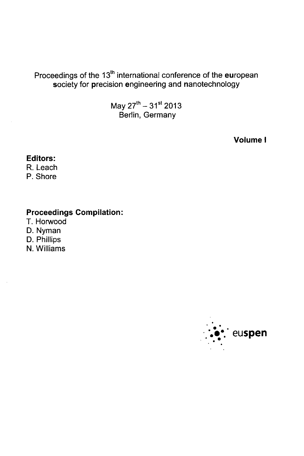# Proceedings of the 13<sup>th</sup> international conference of the european society for precision engineering and nanotechnology

May  $27^{th} - 31^{st}$  2013 Berlin, Germany

Volume <sup>I</sup>

## Editors:

R. Leach

P. Shore

## Proceedings Compilation:

T. Horwood

D. Nyman

D. Phillips

N. Williams

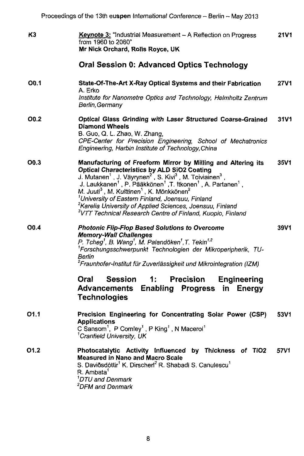| K3               | <b>Keynote 3:</b> "Industrial Measurement - A Reflection on Progress<br>from 1960 to 2060"<br>Mr Nick Orchard, Rolls Royce, UK                                                                                                                                                                                                                                                                                                                                                                                                                                                                                                                     | 21V1        |
|------------------|----------------------------------------------------------------------------------------------------------------------------------------------------------------------------------------------------------------------------------------------------------------------------------------------------------------------------------------------------------------------------------------------------------------------------------------------------------------------------------------------------------------------------------------------------------------------------------------------------------------------------------------------------|-------------|
|                  | Oral Session 0: Advanced Optics Technology                                                                                                                                                                                                                                                                                                                                                                                                                                                                                                                                                                                                         |             |
| O <sub>0.1</sub> | State-Of-The-Art X-Ray Optical Systems and their Fabrication<br>A. Erko<br>Institute for Nanometre Optics and Technology, Helmholtz Zentrum<br>Berlin, Germany                                                                                                                                                                                                                                                                                                                                                                                                                                                                                     | <b>27V1</b> |
| O0.2             | Optical Glass Grinding with Laser Structured Coarse-Grained<br><b>Diamond Wheels</b><br>B. Guo, Q. L. Zhao, W. Zhang,<br>CPE-Center for Precision Engineering, School of Mechatronics<br>Engineering, Harbin Institute of Technology, China                                                                                                                                                                                                                                                                                                                                                                                                        | 31V1        |
| O <sub>0.3</sub> | Manufacturing of Freeform Mirror by Milling and Altering its<br><b>Optical Characteristics by ALD SiO2 Coating</b><br>J. Mutanen <sup>1</sup> , J. Väyrynen <sup>2</sup> , S. Kivi <sup>3</sup> , M. Toiviainen <sup>3</sup> ,<br>J. Laukkanen <sup>1</sup> , P. Pääkkönen <sup>1</sup> , T. Itkonen <sup>1</sup> , A. Partanen <sup>1</sup> ,<br>M. Juuti <sup>3</sup> , M. Kuittinen <sup>1</sup> , K. Mönkkönen <sup>2</sup><br><sup>1</sup> University of Eastern Finland, Joensuu, Finland<br><sup>2</sup> Karelia University of Applied Sciences, Joensuu, Finland<br><sup>3</sup> VTT Technical Research Centre of Finland, Kuopio, Finland | 35V1        |
| O <sub>0.4</sub> | <b>Photonic Flip-Flop Based Solutions to Overcome</b><br><b>Memory-Wall Challenges</b><br>P. Tcheg <sup>1</sup> , B. Wang <sup>1</sup> , M. Palandöken <sup>1</sup> , T. Tekin <sup>1,2</sup><br><sup>1</sup> Forschungsschwerpunkt Technologien der Mikroperipherik, TU-<br>Berlin<br><sup>2</sup> Fraunhofer-Institut für Zuverlässigkeit und Mikrointegration (IZM)<br><b>Session</b><br><b>Precision</b><br>Oral<br>1:<br><b>Engineering</b><br>Enabling Progress in Energy<br>Advancements<br><b>Technologies</b>                                                                                                                             | 39V1        |
| 01.1             | Precision Engineering for Concentrating Solar Power (CSP)<br><b>Applications</b><br>C Sansom <sup>1</sup> , P Comley <sup>1</sup> , P King <sup>1</sup> , N Macerol <sup>1</sup><br><sup>1</sup> Cranfield University, UK                                                                                                                                                                                                                                                                                                                                                                                                                          | 53V1        |
| 01.2             | Photocatalytic Activity Influenced by Thickness of TiO2<br><b>Measured in Nano and Macro Scale</b><br>S. Daviðsdóttir <sup>1</sup> K. Dirscherl <sup>2</sup> R. Shabadi S. Canulescu <sup>1</sup><br>R. Ambata <sup>1</sup><br><sup>1</sup> DTU and Denmark<br><sup>2</sup> DFM and Denmark                                                                                                                                                                                                                                                                                                                                                        | 57V1        |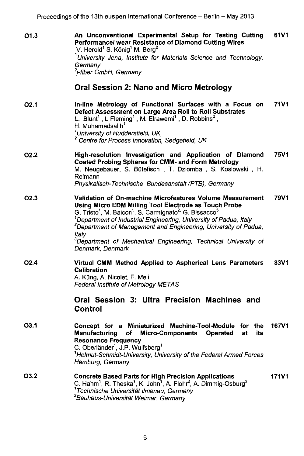| 01.3             | An Unconventional Experimental Setup for Testing Cutting<br>Performance/ wear Resistance of Diamond Cutting Wires<br>V. Herold <sup>1</sup> S. König <sup>1</sup> M. Berg <sup>2</sup><br><sup>1</sup> University Jena, Institute for Materials Science and Technology,<br>Germany<br><sup>2</sup> i-fiber GmbH. Germanv                                                                                                                                                                                | 61V1         |
|------------------|---------------------------------------------------------------------------------------------------------------------------------------------------------------------------------------------------------------------------------------------------------------------------------------------------------------------------------------------------------------------------------------------------------------------------------------------------------------------------------------------------------|--------------|
|                  | Oral Session 2: Nano and Micro Metrology                                                                                                                                                                                                                                                                                                                                                                                                                                                                |              |
| O <sub>2.1</sub> | In-line Metrology of Functional Surfaces with a Focus on<br>Defect Assessment on Large Area Roll to Roll Substrates<br>L. Blunt <sup>1</sup> , L Fleming <sup>1</sup> , M. Elrawemi <sup>1</sup> , D. Robbins <sup>2</sup> ,<br>H. Muhamedsalih <sup>1</sup><br><sup>1</sup> University of Huddersfield, UK,<br><sup>2</sup> Centre for Process Innovation, Sedgefield, UK                                                                                                                              | <b>71V1</b>  |
| <b>O2.2</b>      | High-resolution Investigation and Application of Diamond<br>Coated Probing Spheres for CMM- and Form Metrology<br>M. Neugebauer, S. Bütefisch, T. Dziomba, S. Koslowski, H.<br>Reimann<br>Physikalisch-Technische Bundesanstalt (PTB), Germany                                                                                                                                                                                                                                                          | 75V1         |
| O <sub>2.3</sub> | Validation of On-machine Microfeatures Volume Measurement<br>Using Micro EDM Milling Tool Electrode as Touch Probe<br>G. Tristo <sup>1</sup> , M. Balcon <sup>1</sup> , S. Carmignato <sup>2,</sup> G. Bissacco <sup>3</sup><br><sup>1</sup> Department of Industrial Engineering, University of Padua, Italy<br><sup>2</sup> Department of Management and Engineering, University of Padua,<br>ltalv<br><sup>3</sup> Department of Mechanical Engineering, Technical University of<br>Denmark, Denmark | 79V1         |
| O <sub>2.4</sub> | Virtual CMM Method Applied to Aspherical Lens Parameters<br>Calibration<br>A. Küng, A. Nicolet, F. Meli<br>Federal Institute of Metrology METAS                                                                                                                                                                                                                                                                                                                                                         | 83V1         |
|                  | Oral Session 3: Ultra Precision Machines and<br><b>Control</b>                                                                                                                                                                                                                                                                                                                                                                                                                                          |              |
| O3.1             | Concept for a Miniaturized Machine-Tool-Module for the<br><b>Manufacturing</b><br><b>Micro-Components</b><br>of<br>Operated<br>at<br>its<br><b>Resonance Frequency</b><br>C. Oberländer <sup>1</sup> , J.P. Wulfsberg <sup>1</sup><br><sup>1</sup> Helmut-Schmidt-University, University of the Federal Armed Forces<br>Hamburg, Germany                                                                                                                                                                | <b>167V1</b> |
| O3.2             | <b>Concrete Based Parts for High Precision Applications</b><br>C. Hahm <sup>1</sup> , R. Theska <sup>1</sup> , K. John <sup>1</sup> , A. Flohr <sup>2</sup> , A. Dimmig-Osburg <sup>2</sup><br><sup>1</sup> Technische Universität Ilmenau, Germany<br><sup>2</sup> Bauhaus-Universität Weimar, Germany                                                                                                                                                                                                 | 171V1        |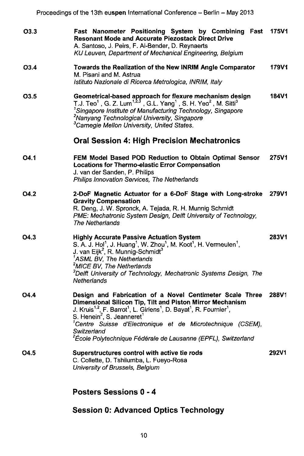| O3.3             | Fast Nanometer Positioning System by Combining Fast<br><b>Resonant Mode and Accurate Piezostack Direct Drive</b><br>A. Santoso, J. Peirs, F. Al-Bender, D. Reynaerts<br>KU Leuven, Department of Mechanical Engineering, Belgium                                                                                                                                                                                                                                         | <b>175V1</b> |
|------------------|--------------------------------------------------------------------------------------------------------------------------------------------------------------------------------------------------------------------------------------------------------------------------------------------------------------------------------------------------------------------------------------------------------------------------------------------------------------------------|--------------|
| O3.4             | Towards the Realization of the New INRIM Angle Comparator<br>M. Pisani and M. Astrua<br>Istituto Nazionale di Ricerca Metrologica, INRIM, Italy                                                                                                                                                                                                                                                                                                                          | 179V1        |
| O <sub>3.5</sub> | Geometrical-based approach for flexure mechanism design<br>T.J. Teo <sup>1</sup> , G. Z. Lum <sup>1,2,3</sup> , G.L. Yang <sup>1</sup> , S. H. Yeo <sup>2</sup> , M. Sitti <sup>3</sup><br><sup>1</sup> Singapore Institute of Manufacturing Technology, Singapore<br><sup>2</sup> Nanyang Technological University, Singapore<br><sup>3</sup> Carnegie Mellon University, United States.                                                                                | <b>184V1</b> |
|                  | <b>Oral Session 4: High Precision Mechatronics</b>                                                                                                                                                                                                                                                                                                                                                                                                                       |              |
| 04.1             | FEM Model Based POD Reduction to Obtain Optimal Sensor<br>Locations for Thermo-elastic Error Compensation<br>J. van der Sanden, P. Philips<br>Philips Innovation Services. The Netherlands                                                                                                                                                                                                                                                                               | 275V1        |
| O4.2             | 2-DoF Magnetic Actuator for a 6-DoF Stage with Long-stroke<br><b>Gravity Compensation</b><br>R. Deng, J. W. Spronck, A. Tejada, R. H. Munnig Schmidt<br>PME: Mechatronic System Design, Delft University of Technology,<br><b>The Netherlands</b>                                                                                                                                                                                                                        | 279V1        |
| O4.3             | <b>Highly Accurate Passive Actuation System</b><br>S. A. J. Hol <sup>1</sup> , J. Huang <sup>1</sup> , W. Zhou <sup>1</sup> , M. Koot <sup>1</sup> , H. Vermeulen <sup>1</sup> ,<br>J. van Eijk <sup>2</sup> , R. Munnig-Schmidt <sup>3</sup><br><sup>1</sup> ASML BV, The Netherlands<br><sup>2</sup> MICE BV, The Netherlands<br><sup>3</sup> Delft University of Technology, Mechatronic Systems Design, The<br>Netherlands                                           | <b>283V1</b> |
| O4.4             | Design and Fabrication of a Novel Centimeter Scale Three<br>Dimensional Silicon Tip, Tilt and Piston Mirror Mechanism<br>J. Kruis <sup>1,2</sup> , F. Barrot <sup>1</sup> , L. Giriens <sup>1</sup> , D. Bayat <sup>1</sup> , R. Fournier <sup>1</sup> ,<br>S. Henein <sup>2</sup> , S. Jeanneret <sup>1</sup><br>'Centre Suisse d'Electronique et de Microtechnique (CSEM),<br>Switzerland<br><sup>2</sup> École Polytechnique Fédérale de Lausanne (EPFL), Switzerland | 288V1        |
| O4.5             | Superstructures control with active tie rods<br>C. Collette, D. Tshilumba, L. Fueyo-Rosa<br>University of Brussels, Belgium                                                                                                                                                                                                                                                                                                                                              | 292V1        |

## Posters Sessions 0-4

# Session 0: Advanced Optics Technology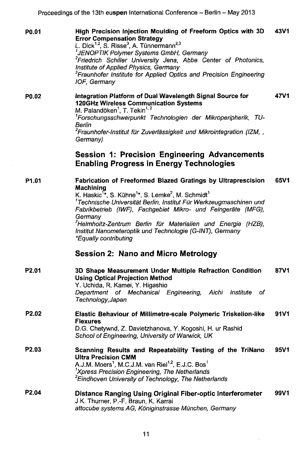Proceedings of the 13th eu<mark>spen</mark> International Conference -- Berlin -- May 2013

| P0.01             | High Precision Injection Moulding of Freeform Optics with 3D<br><b>Error Compensation Strategy</b><br>L. Dick <sup>1,2</sup> , S. Risse <sup>3</sup> , A. Tünnermann <sup>2,3</sup><br><sup>1</sup> JENOPTIK Polymer Systems GmbH, Germany<br><sup>2</sup> Friedrich Schiller University Jena, Abbe Center of Photonics,<br>Institute of Applied Physics, Germany<br><sup>3</sup> Fraunhofer Institute for Applied Optics and Precision Engineering<br>IOF, Germany                                           | 43V1 |
|-------------------|---------------------------------------------------------------------------------------------------------------------------------------------------------------------------------------------------------------------------------------------------------------------------------------------------------------------------------------------------------------------------------------------------------------------------------------------------------------------------------------------------------------|------|
| P0.02             | Integration Platform of Dual Wavelength Signal Source for<br>120GHz Wireless Communication Systems<br>M. Palandöken <sup>1</sup> , T. Tekin <sup>1,2</sup><br><sup>1</sup> Forschungsschwerpunkt Technologien der Mikroperipherik, TU-<br>Berlin<br><sup>2</sup> Fraunhofer-Institut für Zuverlässigkeit und Mikrointegration (IZM, ,<br>Germany)                                                                                                                                                             | 47V1 |
|                   | <b>Session 1: Precision Engineering Advancements</b><br><b>Enabling Progress in Energy Technologies</b>                                                                                                                                                                                                                                                                                                                                                                                                       |      |
| P <sub>1.01</sub> | Fabrication of Freeformed Blazed Gratings by Ultraprescision<br>Machining<br>K. Haskic <sup>1*</sup> , S. Kühne <sup>1*</sup> , S. Lemke <sup>2</sup> , M. Schmidt <sup>1</sup><br><sup>1</sup> Technische Universität Berlin, Institut Für Werkzeugmaschinen und<br>Fabrikbetrieb (IWF), Fachgebiet Mikro- und Feingeräte (MFG),<br>Germany<br><sup>2</sup> Helmholtz-Zentrum Berlin für Materialien und Energie (HZB),<br>Institut Nanometeroptik und Technologie (G-INT), Germany<br>*Equally contributing | 65V1 |
|                   | <b>Session 2: Nano and Micro Metrology</b>                                                                                                                                                                                                                                                                                                                                                                                                                                                                    |      |
| P <sub>2.01</sub> | 3D Shape Measurement Under Multiple Refraction Condition<br><b>Using Optical Projection Method</b><br>Y. Uchida, R. Kamei, Y. Higashio<br>Department of Mechanical Engineering, Aichi Institute<br>of<br>Technology, Japan                                                                                                                                                                                                                                                                                    | 87V1 |
| P <sub>2.02</sub> | Elastic Behaviour of Millimetre-scale Polymeric Triskelion-like<br><b>Flexures</b><br>D.G. Chetywnd, Z. Davletzhanova, Y. Kogoshi, H. ur Rashid<br>School of Engineering, University of Warwick, UK                                                                                                                                                                                                                                                                                                           | 91V1 |
| P <sub>2.03</sub> | Scanning Results and Repeatability Testing of the TriNano<br><b>Ultra Precision CMM</b><br>A.J.M. Moers <sup>1</sup> , M.C.J.M. van Riel <sup>1,2</sup> , E.J.C. Bos <sup>1</sup><br><sup>1</sup> Xpress Precision Engineering, The Netherlands<br><sup>2</sup> Eindhoven University of Technology, The Netherlands                                                                                                                                                                                           | 95V1 |
| P2.04             | Distance Ranging Using Original Fiber-optic Interferometer<br>J K. Thurner, P.-F. Braun, K. Karrai<br>attocube systems AG, Königinstrasse München, Germany                                                                                                                                                                                                                                                                                                                                                    | 99V1 |

 $\bar{z}$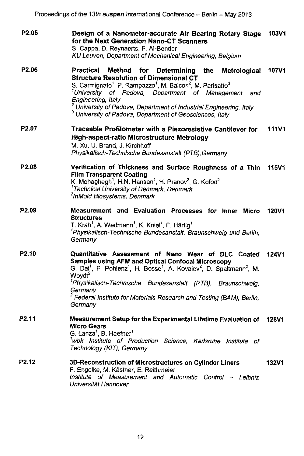| P2.05             | Design of a Nanometer-accurate Air Bearing Rotary Stage<br>for the Next Generation Nano-CT Scanners<br>S. Cappa, D. Reynaerts, F. Al-Bender<br>KU Leuven, Department of Mechanical Engineering, Belgium                                                                                                                                                                                                                                                                        | <b>103V1</b> |
|-------------------|--------------------------------------------------------------------------------------------------------------------------------------------------------------------------------------------------------------------------------------------------------------------------------------------------------------------------------------------------------------------------------------------------------------------------------------------------------------------------------|--------------|
| P <sub>2.06</sub> | Practical<br>Method<br>for Determining the<br>Metrological<br><b>Structure Resolution of Dimensional CT</b><br>S. Carmignato <sup>1</sup> , P. Rampazzo <sup>1</sup> , M. Balcon <sup>2</sup> , M. Parisatto <sup>3</sup><br><sup>1</sup> University of Padova, Department of Management<br>and<br>Engineering, Italy<br><sup>2</sup> University of Padova, Department of Industrial Engineering, Italy<br><sup>3</sup> University of Padova, Department of Geosciences, Italy | <b>107V1</b> |
| P2.07             | Traceable Profilometer with a Piezoresistive Cantilever for<br>High-aspect-ratio Microstructure Metrology<br>M. Xu, U. Brand, J. Kirchhoff<br>Physikalisch-Technische Bundesanstalt (PTB), Germany                                                                                                                                                                                                                                                                             | <b>111V1</b> |
| P <sub>2.08</sub> | Verification of Thickness and Surface Roughness of a Thin<br><b>Film Transparent Coating</b><br>K. Mohaghegh <sup>1</sup> , H.N. Hansen <sup>1</sup> , H. Pranov <sup>2</sup> , G. Kofod <sup>2</sup><br><sup>1</sup> Technical University of Denmark, Denmark<br><sup>2</sup> InMold Biosystems, Denmark                                                                                                                                                                      | <b>115V1</b> |
| P <sub>2.09</sub> | Measurement and Evaluation Processes for Inner Micro<br><b>Structures</b><br>T. Krah <sup>1</sup> , A. Wedmann <sup>1</sup> , K. Kniel <sup>1</sup> , F. Härtig <sup>1</sup><br><sup>1</sup> Physikalisch-Technische Bundesanstalt, Braunschweig und Berlin,<br>Germany                                                                                                                                                                                                        | <b>120V1</b> |
| P <sub>2.10</sub> | Quantitative Assessment of Nano Wear of DLC Coated<br>Samples using AFM and Optical Confocal Microscopy<br>G. Dai <sup>1</sup> , F. Pohlenz <sup>1</sup> , H. Bosse <sup>1</sup> , A. Kovalev <sup>2</sup> , D. Spaltmann <sup>2</sup> , M.<br>Woydt <sup>2</sup><br><sup>1</sup> Physikalisch-Technische Bundesanstalt (PTB), Braunschweig,<br>Germany<br><sup>2</sup> Federal Institute for Materials Research and Testing (BAM), Berlin,<br>Germany                         | <b>124V1</b> |
| P <sub>2.11</sub> | Measurement Setup for the Experimental Lifetime Evaluation of 128V1<br><b>Micro Gears</b><br>G. Lanza <sup>1</sup> , B. Haefner <sup>1</sup><br>wbk Institute of Production Science, Karlsruhe Institute of<br>Technology (KIT), Germany                                                                                                                                                                                                                                       |              |
| P2.12             | 3D-Reconstruction of Microstructures on Cylinder Liners<br>F. Engelke, M. Kästner, E. Reithmeier<br>Institute of Measurement and Automatic Control - Leibniz<br>Universität Hannover                                                                                                                                                                                                                                                                                           | <b>132V1</b> |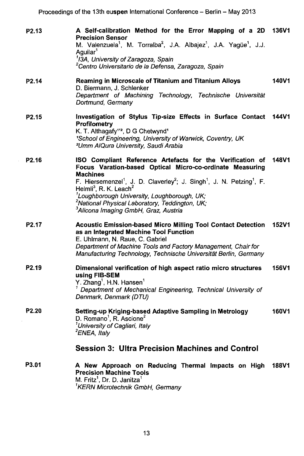Proceedings of the 13th eu<mark>spen</mark> International Conference – Berlin – May 2013

| P <sub>2.13</sub> | A Self-calibration Method for the Error Mapping of a 2D 136V1<br><b>Precision Sensor</b><br>M. Valenzuela <sup>1</sup> , M. Torralba <sup>2</sup> , J.A. Albajez <sup>1</sup> , J.A. Yagüe <sup>1</sup> , J.J.<br>Aquilar'<br><sup>1</sup> I3A, University of Zaragoza, Spain<br><sup>2</sup> Centro Universitario de la Defensa, Zaragoza, Spain                                                                                                                                                |              |
|-------------------|--------------------------------------------------------------------------------------------------------------------------------------------------------------------------------------------------------------------------------------------------------------------------------------------------------------------------------------------------------------------------------------------------------------------------------------------------------------------------------------------------|--------------|
| P <sub>2.14</sub> | Reaming in Microscale of Titanium and Titanium Alloys<br>D. Biermann, J. Schlenker<br>Department of Machining Technology, Technische Universität<br>Dortmund, Germany                                                                                                                                                                                                                                                                                                                            | 140V1        |
| P <sub>2.15</sub> | Investigation of Stylus Tip-size Effects in Surface Contact<br><b>Profilometry</b><br>K. T. Althagafy <sup>12</sup> , D G Chetwynd <sup>1</sup><br><sup>1</sup> School of Engineering, University of Warwick, Coventry, UK<br><sup>2</sup> Umm AlQura University, Saudi Arabia                                                                                                                                                                                                                   | <b>144V1</b> |
| P2.16             | ISO Compliant Reference Artefacts for the Verification of<br>Focus Varation-based Optical Micro-co-ordinate Measuring<br><b>Machines</b><br>F. Hiersemenzel <sup>1</sup> , J. D. Claverley <sup>2</sup> ; J. Singh <sup>1</sup> , J. N. Petzing <sup>1</sup> , F.<br>Helmli <sup>3</sup> , R. K. Leach <sup>2</sup><br><sup>1</sup> Loughborough University, Loughborough, UK;<br><sup>2</sup> National Physical Laboratory, Teddington, UK;<br><sup>3</sup> Alicona Imaging GmbH, Graz, Austria | <b>148V1</b> |
| P <sub>2.17</sub> | <b>Acoustic Emission-based Micro Milling Tool Contact Detection</b><br>as an Integrated Machine Tool Function<br>E. Uhlmann, N. Raue, C. Gabriel<br>Department of Machine Tools and Factory Management, Chair for<br>Manufacturing Technology, Technische Universität Berlin, Germany                                                                                                                                                                                                            | <b>152V1</b> |
| P <sub>2.19</sub> | Dimensional verification of high aspect ratio micro structures<br>using FIB-SEM<br>Y. Zhang <sup>1</sup> , H.N. Hansen <sup>1</sup><br><sup>1</sup> Department of Mechanical Engineering, Technical University of<br>Denmark, Denmark (DTU)                                                                                                                                                                                                                                                      | 156V1        |
| P <sub>2.20</sub> | Setting-up Kriging-based Adaptive Sampling in Metrology<br>D. Romano <sup>1</sup> , R. Ascione <sup>2</sup><br><sup>1</sup> University of Cagliari, Italy<br><sup>2</sup> ENEA, Italy<br>Session 3: Ultra Precision Machines and Control                                                                                                                                                                                                                                                         | 160V1        |
|                   |                                                                                                                                                                                                                                                                                                                                                                                                                                                                                                  |              |
| P3.01             | A New Approach on Reducing Thermal Impacts on High<br><b>Precision Machine Tools</b><br>M. Fritz <sup>1</sup> , Dr. D. Janitza <sup>1</sup><br><sup>1</sup> KERN Microtechnik GmbH, Germany                                                                                                                                                                                                                                                                                                      | 188V1        |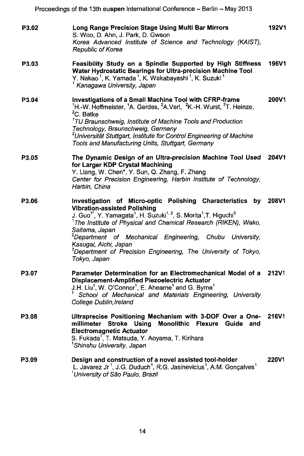Proceedings of the 13th eu**spen** International Conference – Berlin – May 2013

| P3.02 | Long Range Precision Stage Using Multi Bar Mirrors<br>S. Woo, D. Ahn, J. Park, D. Gweon<br>Korea Advanced Institute of Science and Technology (KAIST),<br>Republic of Korea                                                                                                                                                                                                                                                                                                                                                             | <b>192V1</b> |
|-------|-----------------------------------------------------------------------------------------------------------------------------------------------------------------------------------------------------------------------------------------------------------------------------------------------------------------------------------------------------------------------------------------------------------------------------------------------------------------------------------------------------------------------------------------|--------------|
| P3.03 | Feasibility Study on a Spindle Supported by High Stiffness<br>Water Hydrostatic Bearings for Ultra-precision Machine Tool<br>Y. Nakao <sup>1</sup> , K. Yamada <sup>1</sup> , K. Wakabayashi <sup>1</sup> , K. Suzuki <sup>1</sup><br><sup>1</sup> Kanagawa University, Japan                                                                                                                                                                                                                                                           | 196V1        |
| P3.04 | Investigations of a Small Machine Tool with CFRP-frame<br><sup>1</sup> H.-W. Hoffmeister, <sup>1</sup> A. Gerdes, <sup>2</sup> A. Verl, <sup>2</sup> K.-H. Wurst, <sup>2</sup> T. Heinze,<br><sup>2</sup> C. Batke<br><sup>1</sup> TU Braunschweig, Institute of Machine Tools and Production<br>Technology, Braunschweig, Germany<br><sup>2</sup> Universität Stuttgart, Institute for Control Engineering of Machine<br>Tools and Manufacturing Units, Stuttgart, Germany                                                             | 200V1        |
| P3.05 | The Dynamic Design of an Ultra-precision Machine Tool Used<br>for Larger KDP Crystal Machining<br>Y. Liang, W. Chen*, Y. Sun, Q. Zhang, F. Zhang<br>Center for Precision Engineering, Harbin Institute of Technology,<br>Harbin, China                                                                                                                                                                                                                                                                                                  | 204V1        |
| P3.06 | Investigation of Micro-optic Polishing Characteristics by 208V1<br><b>Vibration-assisted Polishing</b><br>J. Guo <sup>1</sup> , Y. Yamagata <sup>1</sup> , H. Suzuki <sup>1, 2</sup> , S. Morita <sup>1</sup> , T. Higuchi <sup>3</sup><br><sup>1</sup> The Institute of Physical and Chemical Research (RIKEN), Wako,<br>Saitama, Japan<br><sup>2</sup> Department of Mechanical Engineering, Chubu University,<br>Kasugai, Aichi, Japan<br><sup>3</sup> Department of Precision Engineering, The University of Tokyo,<br>Tokyo, Japan |              |
| P3.07 | Parameter Determination for an Electromechanical Model of a<br>Displacement-Amplified Piezoelectric Actuator<br>J.H. Liu <sup>1</sup> , W. O'Connor <sup>1</sup> , E. Ahearne <sup>1</sup> and G. Byrne <sup>1</sup><br>School of Mechanical and Materials Engineering, University<br>College Dublin, Ireland                                                                                                                                                                                                                           | 212V1        |
| P3.08 | Ultraprecise Positioning Mechanism with 3-DOF Over a One-<br>millimeter Stroke Using<br>Monolithic Flexure Guide<br>and<br><b>Electromagnetic Actuator</b><br>S. Fukada <sup>1</sup> , T. Matsuda, Y. Aoyama, T. Kirihara<br><sup>1</sup> Shinshu University, Japan                                                                                                                                                                                                                                                                     | 216V1        |
| P3.09 | Design and construction of a novel assisted tool-holder<br>L. Javarez Jr <sup>1</sup> , J.G. Duduch <sup>1</sup> , R.G. Jasinevicius <sup>1</sup> , A.M. Gonçalves <sup>1</sup><br><sup>1</sup> University of São Paulo, Brazil                                                                                                                                                                                                                                                                                                         | 220V1        |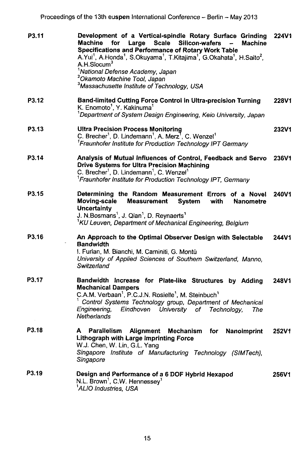Proceedings of the 13th eu**spen** International Conference – Berlin – May 2013

| P3.11 | Development of a Vertical-spindle Rotary Surface Grinding<br>Machine<br>for<br>Large<br>Scale Silicon-wafers<br><b>Machine</b><br>Specifications and Performance of Rotary Work Table<br>A.Yui <sup>1</sup> , A.Honda <sup>1</sup> , S.Okuyama <sup>1</sup> , T.Kitajima <sup>1</sup> , G.Okahata <sup>1</sup> , H.Saito <sup>2</sup> ,<br>A.H.Slocum $^3$<br><sup>1</sup> National Defense Academy, Japan<br><sup>2</sup> Okamoto Machine Tool, Japan<br><sup>3</sup> Massachusette Institute of Technology, USA | 224V1 |
|-------|-------------------------------------------------------------------------------------------------------------------------------------------------------------------------------------------------------------------------------------------------------------------------------------------------------------------------------------------------------------------------------------------------------------------------------------------------------------------------------------------------------------------|-------|
| P3.12 | Band-limited Cutting Force Control in Ultra-precision Turning<br>K. Enomoto <sup>1</sup> , Y. Kakinuma <sup>1</sup><br><sup>1</sup> Department of System Design Engineering, Keio University, Japan                                                                                                                                                                                                                                                                                                               | 228V1 |
| P3.13 | <b>Ultra Precision Process Monitoring</b><br>C. Brecher <sup>1</sup> , D. Lindemann <sup>1</sup> , A. Merz <sup>7</sup> , C. Wenzel <sup>1</sup><br><sup>1</sup> Fraunhofer Institute for Production Technology IPT Germany                                                                                                                                                                                                                                                                                       | 232V1 |
| P3.14 | Analysis of Mutual Influences of Control, Feedback and Servo 236V1<br><b>Drive Systems for Ultra Precision Machining</b><br>C. Brecher <sup>1</sup> , D. Lindemann <sup>1</sup> , C. Wenzel <sup>1</sup><br><sup>1</sup> Fraunhofer Institute for Production Technology IPT, Germany                                                                                                                                                                                                                              |       |
| P3.15 | Determining the Random Measurement Errors of a Novel<br>Moving-scale<br>Measurement<br><b>System</b><br>with<br>Nanometre<br>Uncertainty<br>J. N.Bosmans <sup>1</sup> , J. Qian <sup>1</sup> , D. Reynaerts <sup>1</sup><br><sup>1</sup> KU Leuven, Department of Mechanical Engineering, Belgium                                                                                                                                                                                                                 | 240V1 |
| P3.16 | An Approach to the Optimal Observer Design with Selectable<br><b>Bandwidth</b><br>I. Furlan, M. Bianchi, M. Caminiti, G. Montù<br>University of Applied Sciences of Southern Switzerland, Manno,<br>Switzerland                                                                                                                                                                                                                                                                                                   | 244V1 |
| P3.17 | Bandwidth Increase for Plate-like Structures by Adding<br><b>Mechanical Dampers</b><br>C.A.M. Verbaan <sup>1</sup> , P.C.J.N. Rosielle <sup>1</sup> , M. Steinbuch <sup>1</sup><br>Control Systems Technology group, Department of Mechanical<br>Enaineerina.<br>Eindhoven University of Technology,<br>The<br>Netherlands                                                                                                                                                                                        | 248V1 |
| P3.18 | <b>Parallelism</b><br>Alignment<br>A<br>Mechanism for Nanoimprint<br>Lithograph with Large Imprinting Force<br>W.J. Chen, W. Lin, G.L. Yang<br>Singapore Institute of Manufacturing Technology (SIMTech),<br>Singapore                                                                                                                                                                                                                                                                                            | 252V1 |
| P3.19 | Design and Performance of a 6 DOF Hybrid Hexapod<br>N.L. Brown <sup>1</sup> , C.W. Hennessey <sup>1</sup><br><sup>1</sup> ALIO Industries, USA                                                                                                                                                                                                                                                                                                                                                                    | 256V1 |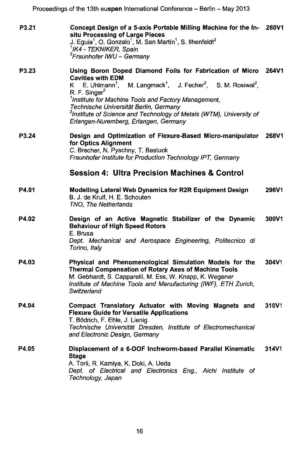P3.21 Concept Design of a 5-axis Portable Milling Machine for the In- 260V1 situ Processing of Large Pieces J. Eguia<sup>1</sup>, O. Gonzalo<sup>1</sup>, M. San Martin<sup>1</sup>, S. Ilhenfeldt<sup>2</sup> 1/K4 - TEKNIKER, Spain <sup>2</sup>Fraunhofer IWU - Germany

### P3.23 Using Boron Doped Diamond Foils for Fabrication of Micro 264V1 **Cavities with EDM**<br>K E. Uhlmann<sup>1</sup>, K E. Uhlmann<sup>1</sup>, M. Langmack<sup>1</sup>, J. Fecher<sup>2</sup>, S. M. Rosiwal<sup>2</sup>, R. F. Singer<sup>2</sup> <sup>1</sup> Institute for Machine Tools and Factory Management, Technische Universitat Berlin, Germany <sup>2</sup>Institute of Science and Technology of Metals (WTM), University of Erlangen-Nuremberg, Erlangen, Germany P3.24 Design and Optimization of Flexure-Based Micro-manipulator 268V1

#### for Optics Alignment C. Brecher, N. Pyschny, T. Bastuck Fraunhofer Institute for Production Technology IPT, Germany

### Session 4: Ultra Precision Machines & Control

| P4.01 | Modelling Lateral Web Dynamics for R2R Equipment Design | 296V1 |
|-------|---------------------------------------------------------|-------|
|       | B. J. de Kruif, H. E. Schouten                          |       |
|       | TNO. The Netherlands                                    |       |

#### P4.02 Design of an Active Magnetic Stabilizer of the Dynamic 300V1 Behaviour of High Speed Rotors E. Brusa Dept. Mechanical and Aerospace Engineering, Politecnico di

Torino, Italy

P4.03 Physical and Phenomenological Simulation Models for the 304V1 Thermal Compensation of Rotary Axes of Machine Tools M. Gebhardt, S. Capparelli, M. Ess, W. Knapp, K. Wegener Institute of Machine Tools and Manufacturing (IWF), ETH Zurich, **Switzerland** 

#### P4.04 Compact Translatory Actuator with Moving Magnets and 310V1 Flexure Guide for Versatile Applications T. Bodrich, F. Ehle, J. Lienig Technische Universitat Dresden, Institute of Electromechanical and Electronic Design, Germany

#### P4.0S Displacement of a 6-DOF Inchworm-based Parallel Kinematic 314V1 **Stage** A. Torii, R. Kamiya, K. Doki, A. Ueda Dept. of Electrical and Electronics Eng., Aichi Institute of Technology, Japan